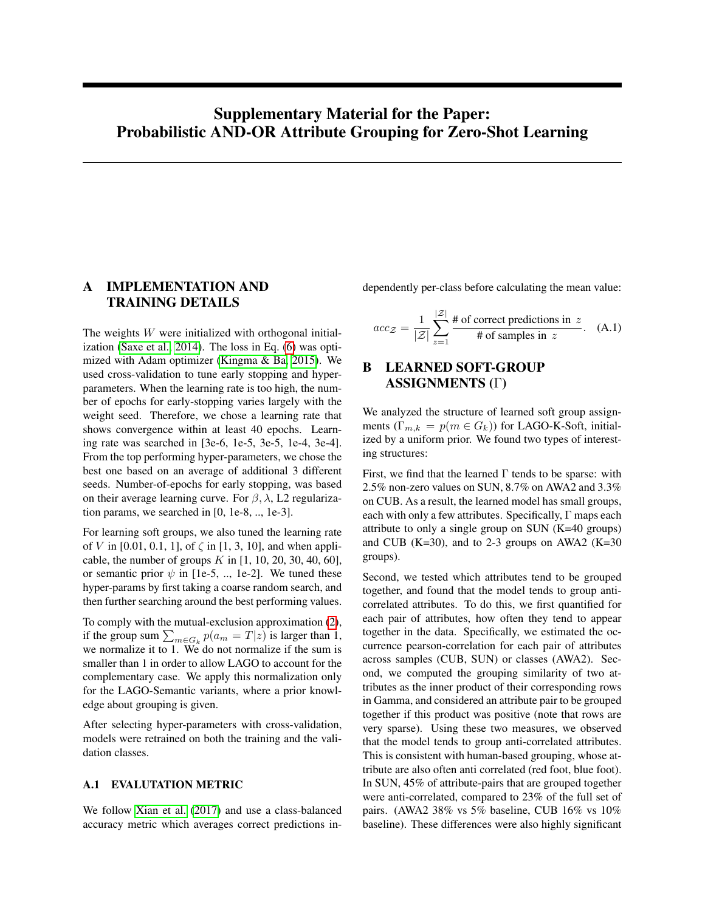# <span id="page-0-0"></span>Supplementary Material for the Paper: Probabilistic AND-OR Attribute Grouping for Zero-Shot Learning

# A IMPLEMENTATION AND TRAINING DETAILS

The weights W were initialized with orthogonal initialization [\(Saxe et al., 2014\)](#page-3-0). The loss in Eq. (6) was optimized with Adam optimizer [\(Kingma & Ba, 2015\)](#page-3-1). We used cross-validation to tune early stopping and hyperparameters. When the learning rate is too high, the number of epochs for early-stopping varies largely with the weight seed. Therefore, we chose a learning rate that shows convergence within at least 40 epochs. Learning rate was searched in [3e-6, 1e-5, 3e-5, 1e-4, 3e-4]. From the top performing hyper-parameters, we chose the best one based on an average of additional 3 different seeds. Number-of-epochs for early stopping, was based on their average learning curve. For  $\beta$ ,  $\lambda$ , L2 regularization params, we searched in [0, 1e-8, .., 1e-3].

For learning soft groups, we also tuned the learning rate of V in [0.01, 0.1, 1], of  $\zeta$  in [1, 3, 10], and when applicable, the number of groups  $K$  in [1, 10, 20, 30, 40, 60], or semantic prior  $\psi$  in [1e-5, .., 1e-2]. We tuned these hyper-params by first taking a coarse random search, and then further searching around the best performing values.

To comply with the mutual-exclusion approximation (2), if the group sum  $\sum_{m \in G_k} p(a_m = T|z)$  is larger than 1, we normalize it to 1. We do not normalize if the sum is smaller than 1 in order to allow LAGO to account for the complementary case. We apply this normalization only for the LAGO-Semantic variants, where a prior knowledge about grouping is given.

After selecting hyper-parameters with cross-validation, models were retrained on both the training and the validation classes.

### A.1 EVALUTATION METRIC

We follow [Xian et al.](#page-4-0) [\(2017\)](#page-4-0) and use a class-balanced accuracy metric which averages correct predictions independently per-class before calculating the mean value:

$$
acc_{\mathcal{Z}} = \frac{1}{|\mathcal{Z}|} \sum_{z=1}^{|\mathcal{Z}|} \frac{\# \text{ of correct predictions in } z}{\# \text{ of samples in } z}.
$$
 (A.1)

# B LEARNED SOFT-GROUP ASSIGNMENTS (Γ)

We analyzed the structure of learned soft group assignments  $(\Gamma_{m,k} = p(m \in G_k))$  for LAGO-K-Soft, initialized by a uniform prior. We found two types of interesting structures:

First, we find that the learned  $\Gamma$  tends to be sparse: with 2.5% non-zero values on SUN, 8.7% on AWA2 and 3.3% on CUB. As a result, the learned model has small groups, each with only a few attributes. Specifically, Γ maps each attribute to only a single group on SUN (K=40 groups) and CUB (K=30), and to 2-3 groups on AWA2 (K=30) groups).

Second, we tested which attributes tend to be grouped together, and found that the model tends to group anticorrelated attributes. To do this, we first quantified for each pair of attributes, how often they tend to appear together in the data. Specifically, we estimated the occurrence pearson-correlation for each pair of attributes across samples (CUB, SUN) or classes (AWA2). Second, we computed the grouping similarity of two attributes as the inner product of their corresponding rows in Gamma, and considered an attribute pair to be grouped together if this product was positive (note that rows are very sparse). Using these two measures, we observed that the model tends to group anti-correlated attributes. This is consistent with human-based grouping, whose attribute are also often anti correlated (red foot, blue foot). In SUN, 45% of attribute-pairs that are grouped together were anti-correlated, compared to 23% of the full set of pairs. (AWA2 38% vs 5% baseline, CUB 16% vs 10% baseline). These differences were also highly significant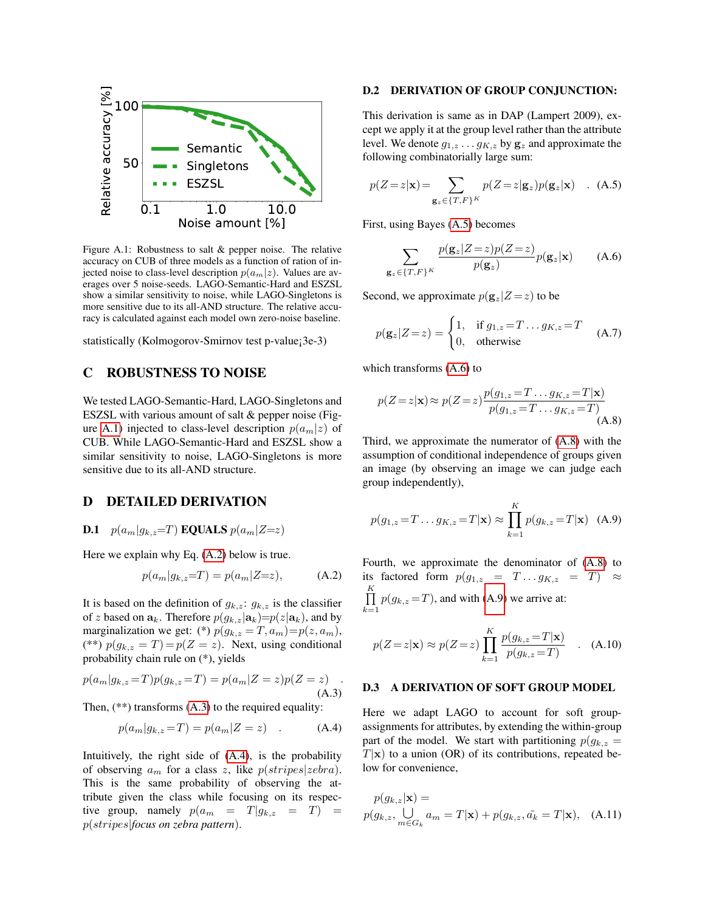<span id="page-1-0"></span>

Figure A.1: Robustness to salt & pepper noise. The relative accuracy on CUB of three models as a function of ration of injected noise to class-level description  $p(a_m|z)$ . Values are averages over 5 noise-seeds. LAGO-Semantic-Hard and ESZSL show a similar sensitivity to noise, while LAGO-Singletons is more sensitive due to its all-AND structure. The relative accuracy is calculated against each model own zero-noise baseline.

statistically (Kolmogorov-Smirnov test p-value¡3e-3)

## C ROBUSTNESS TO NOISE

We tested LAGO-Semantic-Hard, LAGO-Singletons and ESZSL with various amount of salt & pepper noise (Fig-ure [A.1\)](#page-1-0) injected to class-level description  $p(a_m|z)$  of CUB. While LAGO-Semantic-Hard and ESZSL show a similar sensitivity to noise, LAGO-Singletons is more sensitive due to its all-AND structure.

### D DETAILED DERIVATION

**D.1** 
$$
p(a_m|g_{k,z}=T)
$$
 **EQUALS**  $p(a_m|Z=z)$ 

Here we explain why Eq. [\(A.2\)](#page-1-1) below is true.

$$
p(a_m|g_{k,z}=T) = p(a_m|Z=z), \quad (A.2)
$$

It is based on the definition of  $g_{k,z}$ :  $g_{k,z}$  is the classifier of z based on  $\mathbf{a}_k$ . Therefore  $p(g_{k,z}|\mathbf{a}_k)=p(z|\mathbf{a}_k)$ , and by marginalization we get: (\*)  $p(g_{k,z} = T, a_m) = p(z, a_m)$ , (\*\*)  $p(g_{k,z} = T) = p(Z = z)$ . Next, using conditional probability chain rule on (\*), yields

$$
p(a_m|g_{k,z}=T)p(g_{k,z}=T) = p(a_m|Z=z)p(Z=z)
$$
 (A.3)

Then,  $(**)$  transforms  $(A.3)$  to the required equality:

$$
p(a_m|g_{k,z}=T) = p(a_m|Z=z) \quad . \tag{A.4}
$$

Intuitively, the right side of [\(A.4\)](#page-1-3), is the probability of observing  $a_m$  for a class z, like  $p(stripes|zebra)$ . This is the same probability of observing the attribute given the class while focusing on its respective group, namely  $p(a_m = T|g_{k,z} = T) =$ p(stripes|*focus on zebra pattern*).

#### D.2 DERIVATION OF GROUP CONJUNCTION:

This derivation is same as in DAP (Lampert 2009), except we apply it at the group level rather than the attribute level. We denote  $g_{1,z} \dots g_{K,z}$  by  $g_z$  and approximate the following combinatorially large sum:

<span id="page-1-4"></span>
$$
p(Z=z|\mathbf{x}) = \sum_{\mathbf{g}_z \in \{T, F\}^K} p(Z=z|\mathbf{g}_z) p(\mathbf{g}_z|\mathbf{x}) \quad . \quad (A.5)
$$

First, using Bayes [\(A.5\)](#page-1-4) becomes

<span id="page-1-5"></span>
$$
\sum_{\mathbf{g}_z \in \{T, F\}^K} \frac{p(\mathbf{g}_z | Z = z) p(Z = z)}{p(\mathbf{g}_z)} p(\mathbf{g}_z | \mathbf{x}) \tag{A.6}
$$

Second, we approximate  $p(\mathbf{g}_z|Z=z)$  to be

$$
p(\mathbf{g}_z|Z=z) = \begin{cases} 1, & \text{if } g_{1,z} = T \dots g_{K,z} = T \\ 0, & \text{otherwise} \end{cases}
$$
 (A.7)

which transforms  $(A.6)$  to

<span id="page-1-6"></span>
$$
p(Z = z | \mathbf{x}) \approx p(Z = z) \frac{p(g_{1,z} = T \dots g_{K,z} = T | \mathbf{x})}{p(g_{1,z} = T \dots g_{K,z} = T)}
$$
(A.8)

Third, we approximate the numerator of [\(A.8\)](#page-1-6) with the assumption of conditional independence of groups given an image (by observing an image we can judge each group independently),

<span id="page-1-7"></span>
$$
p(g_{1,z} = T \dots g_{K,z} = T | \mathbf{x}) \approx \prod_{k=1}^{K} p(g_{k,z} = T | \mathbf{x})
$$
 (A.9)

<span id="page-1-1"></span>Fourth, we approximate the denominator of [\(A.8\)](#page-1-6) to its factored form  $p(g_{1,z} = T \dots g_{K,z} = T) \approx$  $\prod_{i=1}^{K} p(g_{k,z} = T)$ , and with [\(A.9\)](#page-1-7) we arrive at:  $k=1$ 

$$
p(Z=z|\mathbf{x}) \approx p(Z=z) \prod_{k=1}^{K} \frac{p(g_{k,z}=T|\mathbf{x})}{p(g_{k,z}=T)}
$$
 (A.10)

#### <span id="page-1-2"></span>D.3 A DERIVATION OF SOFT GROUP MODEL

<span id="page-1-3"></span>Here we adapt LAGO to account for soft groupassignments for attributes, by extending the within-group part of the model. We start with partitioning  $p(g_{k,z} =$  $T|\mathbf{x}$ ) to a union (OR) of its contributions, repeated below for convenience,

$$
p(g_{k,z}|\mathbf{x}) =
$$
  
 
$$
p(g_{k,z}, \bigcup_{m \in G_k} a_m = T|\mathbf{x}) + p(g_{k,z}, \tilde{a_k} = T|\mathbf{x}), \quad (A.11)
$$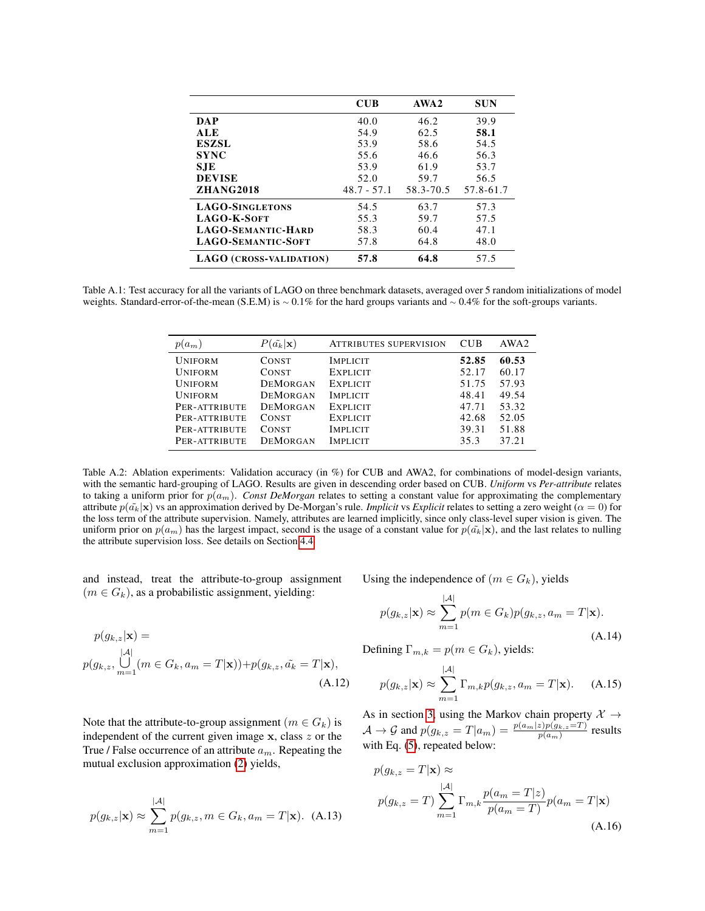|                                | <b>CUB</b>    | AWA2      | <b>SUN</b> |
|--------------------------------|---------------|-----------|------------|
| <b>DAP</b>                     | 40.0          | 46.2      | 39.9       |
| ALE                            | 54.9          | 62.5      | 58.1       |
| <b>ESZSL</b>                   | 53.9          | 58.6      | 54.5       |
| <b>SYNC</b>                    | 55.6          | 46.6      | 56.3       |
| <b>SJE</b>                     | 53.9          | 61.9      | 53.7       |
| <b>DEVISE</b>                  | 52.0          | 59.7      | 56.5       |
| <b>ZHANG2018</b>               | $48.7 - 57.1$ | 58.3-70.5 | 57.8-61.7  |
| <b>LAGO-SINGLETONS</b>         | 54.5          | 63.7      | 57.3       |
| LAGO-K-SOFT                    | 55.3          | 59.7      | 57.5       |
| <b>LAGO-SEMANTIC-HARD</b>      | 58.3          | 60.4      | 47.1       |
| <b>LAGO-SEMANTIC-SOFT</b>      | 57.8          | 64.8      | 48.0       |
| <b>LAGO (CROSS-VALIDATION)</b> | 57.8          | 64.8      | 57.5       |

Table A.1: Test accuracy for all the variants of LAGO on three benchmark datasets, averaged over 5 random initializations of model weights. Standard-error-of-the-mean (S.E.M) is ∼ 0.1% for the hard groups variants and ∼ 0.4% for the soft-groups variants.

| $p(a_m)$       | $P(\tilde{a_k} \mathbf{x})$ | <b>ATTRIBUTES SUPERVISION</b> | <b>CUB</b> | AWA2  |
|----------------|-----------------------------|-------------------------------|------------|-------|
| <b>UNIFORM</b> | <b>CONST</b>                | <b>IMPLICIT</b>               | 52.85      | 60.53 |
| <b>UNIFORM</b> | <b>CONST</b>                | <b>EXPLICIT</b>               | 52.17      | 60.17 |
| <b>UNIFORM</b> | <b>DEMORGAN</b>             | <b>EXPLICIT</b>               | 51.75      | 57.93 |
| <b>UNIFORM</b> | <b>DEMORGAN</b>             | <b>IMPLICIT</b>               | 48.41      | 49.54 |
| PER-ATTRIBUTE  | <b>DEMORGAN</b>             | <b>EXPLICIT</b>               | 47.71      | 53.32 |
| PER-ATTRIBUTE  | <b>CONST</b>                | <b>EXPLICIT</b>               | 42.68      | 52.05 |
| PER-ATTRIBUTE  | <b>CONST</b>                | <b>IMPLICIT</b>               | 39.31      | 51.88 |
| PER-ATTRIBUTE  | <b>DEMORGAN</b>             | <b>IMPLICIT</b>               | 35.3       | 37.21 |

Table A.2: Ablation experiments: Validation accuracy (in %) for CUB and AWA2, for combinations of model-design variants, with the semantic hard-grouping of LAGO. Results are given in descending order based on CUB. *Uniform* vs *Per-attribute* relates to taking a uniform prior for  $p(a_m)$ . *Const DeMorgan* relates to setting a constant value for approximating the complementary attribute  $p(\tilde{a_k}|\mathbf{x})$  vs an approximation derived by De-Morgan's rule. *Implicit* vs *Explicit* relates to setting a zero weight ( $\alpha = 0$ ) for the loss term of the attribute supervision. Namely, attributes are learned implicitly, since only class-level super vision is given. The uniform prior on  $p(a_m)$  has the largest impact, second is the usage of a constant value for  $p(\tilde{a_k}|\mathbf{x})$ , and the last relates to nulling the attribute supervision loss. See details on Section [4.4](#page-3-2)

and instead, treat the attribute-to-group assignment  $(m \in G_k)$ , as a probabilistic assignment, yielding:

$$
p(g_{k,z}|\mathbf{x}) =
$$
  
\n
$$
p(g_{k,z}, \bigcup_{m=1}^{|A|} (m \in G_k, a_m = T|\mathbf{x})) + p(g_{k,z}, \tilde{a_k} = T|\mathbf{x}),
$$
  
\n(A.12)

Note that the attribute-to-group assignment ( $m \in G_k$ ) is independent of the current given image  $x$ , class  $z$  or the True / False occurrence of an attribute  $a_m$ . Repeating the mutual exclusion approximation [\(2\)](#page-0-0) yields,

$$
p(g_{k,z}|\mathbf{x}) \approx \sum_{m=1}^{|\mathcal{A}|} p(g_{k,z}, m \in G_k, a_m = T|\mathbf{x}).
$$
 (A.13)

Using the independence of  $(m \in G_k)$ , yields

$$
p(g_{k,z}|\mathbf{x}) \approx \sum_{m=1}^{|A|} p(m \in G_k) p(g_{k,z}, a_m = T|\mathbf{x}).
$$
\n(A.14)

Defining  $\Gamma_{m,k} = p(m \in G_k)$ , yields:

$$
p(g_{k,z}|\mathbf{x}) \approx \sum_{m=1}^{|\mathcal{A}|} \Gamma_{m,k} p(g_{k,z}, a_m = T|\mathbf{x}). \quad (A.15)
$$

As in section [3,](#page-0-0) using the Markov chain property  $X \rightarrow$  $\mathcal{A} \to \mathcal{G}$  and  $p(g_{k,z} = T|a_m) = \frac{p(a_m|z)p(g_{k,z}=T)}{p(a_m)}$  results with Eq. [\(5\)](#page-0-0), repeated below:

$$
p(g_{k,z} = T | \mathbf{x}) \approx
$$
  
\n
$$
p(g_{k,z} = T) \sum_{m=1}^{|\mathcal{A}|} \Gamma_{m,k} \frac{p(a_m = T | z)}{p(a_m = T)} p(a_m = T | \mathbf{x})
$$
  
\n(A.16)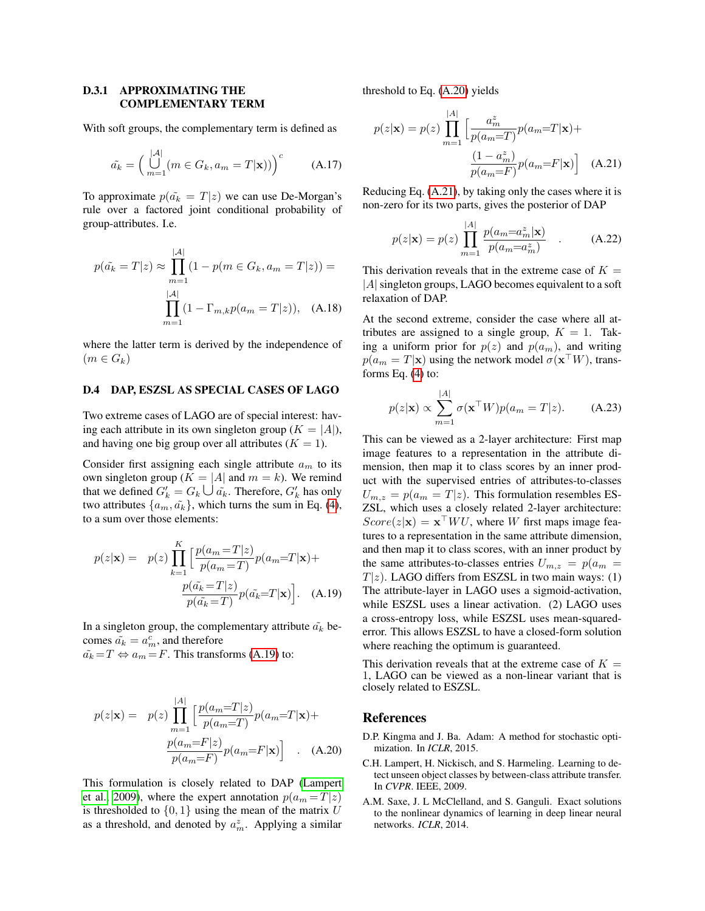#### D.3.1 APPROXIMATING THE COMPLEMENTARY TERM

With soft groups, the complementary term is defined as

$$
\tilde{a_k} = \left(\bigcup_{m=1}^{|A|} (m \in G_k, a_m = T|\mathbf{x}))\right)^c \tag{A.17}
$$

To approximate  $p(\tilde{a_k} = T|z)$  we can use De-Morgan's rule over a factored joint conditional probability of group-attributes. I.e.

$$
p(\tilde{a_k} = T|z) \approx \prod_{m=1}^{|\mathcal{A}|} (1 - p(m \in G_k, a_m = T|z)) =
$$

$$
\prod_{m=1}^{|\mathcal{A}|} (1 - \Gamma_{m,k} p(a_m = T|z)), \quad \text{(A.18)}
$$

where the latter term is derived by the independence of  $(m \in G_k)$ 

#### <span id="page-3-2"></span>D.4 DAP, ESZSL AS SPECIAL CASES OF LAGO

Two extreme cases of LAGO are of special interest: having each attribute in its own singleton group ( $K = |A|$ ), and having one big group over all attributes  $(K = 1)$ .

Consider first assigning each single attribute  $a_m$  to its own singleton group ( $K = |A|$  and  $m = k$ ). We remind that we defined  $G'_{k} = G_{k} \cup \tilde{a_{k}}$ . Therefore,  $G'_{k}$  has only two attributes  $\{a_m, \tilde{a_k}\}$ , which turns the sum in Eq. [\(4\)](#page-0-0), to a sum over those elements:

$$
p(z|\mathbf{x}) = p(z) \prod_{k=1}^{K} \left[ \frac{p(a_m = T|z)}{p(a_m = T)} p(a_m = T|\mathbf{x}) + \frac{p(\tilde{a}_k = T|z)}{p(\tilde{a}_k = T)} p(\tilde{a}_k = T|\mathbf{x}) \right].
$$
 (A.19)

In a singleton group, the complementary attribute  $\tilde{a_k}$  becomes  $\tilde{a_k} = a_m^c$ , and therefore  $\tilde{a_k} = T \Leftrightarrow a_m = F$ . This transforms [\(A.19\)](#page-3-3) to:

$$
p(z|\mathbf{x}) = p(z) \prod_{m=1}^{|A|} \left[ \frac{p(a_m = T|z)}{p(a_m = T)} p(a_m = T|\mathbf{x}) + \frac{p(a_m = F|z)}{p(a_m = F)} p(a_m = F|\mathbf{x}) \right] .
$$
 (A.20)

This formulation is closely related to DAP [\(Lampert](#page-3-4) [et al., 2009\)](#page-3-4), where the expert annotation  $p(a_m = T|z)$ is thresholded to  $\{0, 1\}$  using the mean of the matrix U as a threshold, and denoted by  $a_m^z$ . Applying a similar threshold to Eq. [\(A.20\)](#page-3-5) yields

$$
p(z|\mathbf{x}) = p(z) \prod_{m=1}^{|A|} \left[ \frac{a_m^z}{p(a_m = T)} p(a_m = T|\mathbf{x}) + \frac{(1 - a_m^z)}{p(a_m = F)} p(a_m = F|\mathbf{x}) \right]
$$
(A.21)

Reducing Eq. [\(A.21\)](#page-3-6), by taking only the cases where it is non-zero for its two parts, gives the posterior of DAP

<span id="page-3-6"></span>
$$
p(z|\mathbf{x}) = p(z) \prod_{m=1}^{|A|} \frac{p(a_m = a_m^z | \mathbf{x})}{p(a_m = a_m^z)} .
$$
 (A.22)

This derivation reveals that in the extreme case of  $K =$ |A| singleton groups, LAGO becomes equivalent to a soft relaxation of DAP.

At the second extreme, consider the case where all attributes are assigned to a single group,  $K = 1$ . Taking a uniform prior for  $p(z)$  and  $p(a_m)$ , and writing  $p(a_m = T|\mathbf{x})$  using the network model  $\sigma(\mathbf{x}^\top W)$ , transforms Eq.  $(4)$  to:

$$
p(z|\mathbf{x}) \propto \sum_{m=1}^{|A|} \sigma(\mathbf{x}^\top W) p(a_m = T|z). \quad (A.23)
$$

This can be viewed as a 2-layer architecture: First map image features to a representation in the attribute dimension, then map it to class scores by an inner product with the supervised entries of attributes-to-classes  $U_{m,z} = p(a_m = T|z)$ . This formulation resembles ES-ZSL, which uses a closely related 2-layer architecture:  $Score(z|\mathbf{x}) = \mathbf{x}^\top W U$ , where W first maps image features to a representation in the same attribute dimension, and then map it to class scores, with an inner product by the same attributes-to-classes entries  $U_{m,z} = p(a_m =$  $T|z$ ). LAGO differs from ESZSL in two main ways: (1) The attribute-layer in LAGO uses a sigmoid-activation, while ESZSL uses a linear activation. (2) LAGO uses a cross-entropy loss, while ESZSL uses mean-squarederror. This allows ESZSL to have a closed-form solution where reaching the optimum is guaranteed.

<span id="page-3-3"></span>This derivation reveals that at the extreme case of  $K =$ 1, LAGO can be viewed as a non-linear variant that is closely related to ESZSL.

### References

- <span id="page-3-5"></span><span id="page-3-1"></span>D.P. Kingma and J. Ba. Adam: A method for stochastic optimization. In *ICLR*, 2015.
- <span id="page-3-4"></span>C.H. Lampert, H. Nickisch, and S. Harmeling. Learning to detect unseen object classes by between-class attribute transfer. In *CVPR*. IEEE, 2009.
- <span id="page-3-0"></span>A.M. Saxe, J. L McClelland, and S. Ganguli. Exact solutions to the nonlinear dynamics of learning in deep linear neural networks. *ICLR*, 2014.